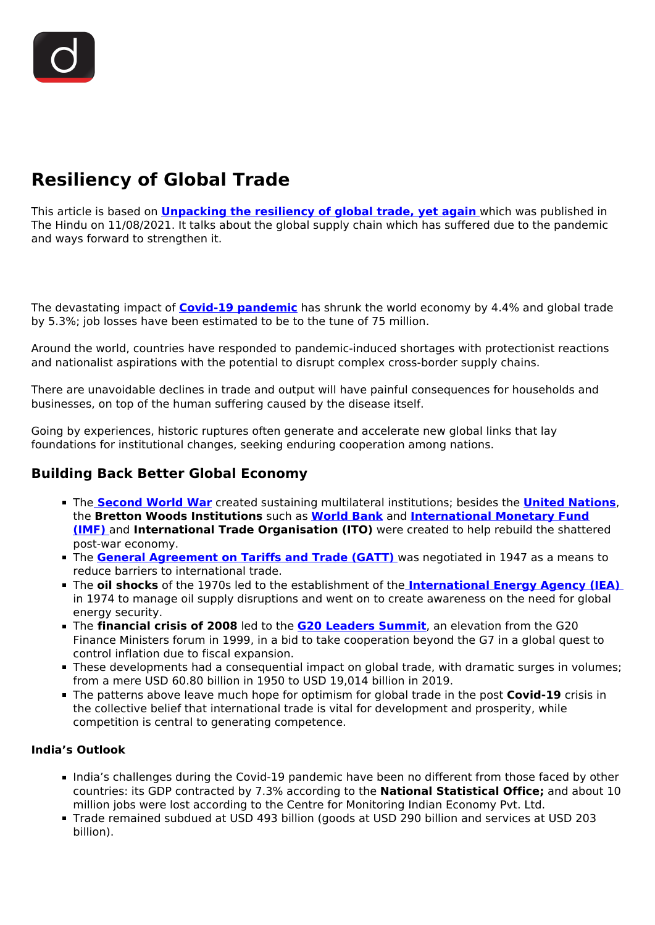# **Resiliency of Global Trade**

This article is based on **[Unpacking the resiliency of global trade, yet again](https://www.thehindu.com/opinion/op-ed/unpacking-the-resiliency-of-global-trade-yet-again/article35845220.ece)** which was published in The Hindu on 11/08/2021. It talks about the global supply chain which has suffered due to the pandemic and ways forward to strengthen it.

The devastating impact of **[Covid-19 pandemic](/loksabha-rajyasabha-discussions/the-big-picture-india-s-covid-pandemic-management)** has shrunk the world economy by 4.4% and global trade by 5.3%; job losses have been estimated to be to the tune of 75 million.

Around the world, countries have responded to pandemic-induced shortages with protectionist reactions and nationalist aspirations with the potential to disrupt complex cross-border supply chains.

There are unavoidable declines in trade and output will have painful consequences for households and businesses, on top of the human suffering caused by the disease itself.

Going by experiences, historic ruptures often generate and accelerate new global links that lay foundations for institutional changes, seeking enduring cooperation among nations.

## **Building Back Better Global Economy**

- The **[Second World War](/to-the-points/paper1/world-war-ii)** created sustaining multilateral institutions; besides the **[United Nations](/important-institutions/drishti-specials-important-institutions-international-institution/united-nations-1)**, the **Bretton Woods Institutions** such as **[World Bank](/important-institutions/drishti-specials-important-institutions-international-institution/world-bank-group#:~:text=The%20Bretton%20Woods%20Conference%2C%20officially,and%20monetary%20order%20after%20the)** and **[International Monetary Fund](/important-institutions/drishti-specials-important-institutions-international-institution/international-monetary-fund-imf) [\(IMF\)](/important-institutions/drishti-specials-important-institutions-international-institution/international-monetary-fund-imf)** and **International Trade Organisation (ITO)** were created to help rebuild the shattered post-war economy.
- The **[General Agreement on Tariffs and Trade \(GATT\)](/important-institutions/drishti-specials-important-institutions-international-institution/world-trade-organisation-wto#:~:text=in%20Geneva%2C%20Switzerland.-,The%20Council%20for%20Trade%20in%20Goods%20(Goods%20Council),from%20all%20WTO%20member%20countries.)** was negotiated in 1947 as a means to reduce barriers to international trade.
- The **oil shocks** of the 1970s led to the establishment of the **[International Energy Agency \(IEA\)](/daily-updates/daily-news-analysis/india-energy-outlook-2021-iea)** in 1974 to manage oil supply disruptions and went on to create awareness on the need for global energy security.
- The **financial crisis of 2008** led to the **[G20 Leaders Summit](/daily-updates/daily-news-analysis/g-20-summit-1)**, an elevation from the G20 Finance Ministers forum in 1999, in a bid to take cooperation beyond the G7 in a global quest to control inflation due to fiscal expansion.
- These developments had a consequential impact on global trade, with dramatic surges in volumes; from a mere USD 60.80 billion in 1950 to USD 19,014 billion in 2019.
- The patterns above leave much hope for optimism for global trade in the post **Covid-19** crisis in the collective belief that international trade is vital for development and prosperity, while competition is central to generating competence.

#### **India's Outlook**

- India's challenges during the Covid-19 pandemic have been no different from those faced by other countries: its GDP contracted by 7.3% according to the **National Statistical Office;** and about 10 million jobs were lost according to the Centre for Monitoring Indian Economy Pvt. Ltd.
- Trade remained subdued at USD 493 billion (goods at USD 290 billion and services at USD 203 billion).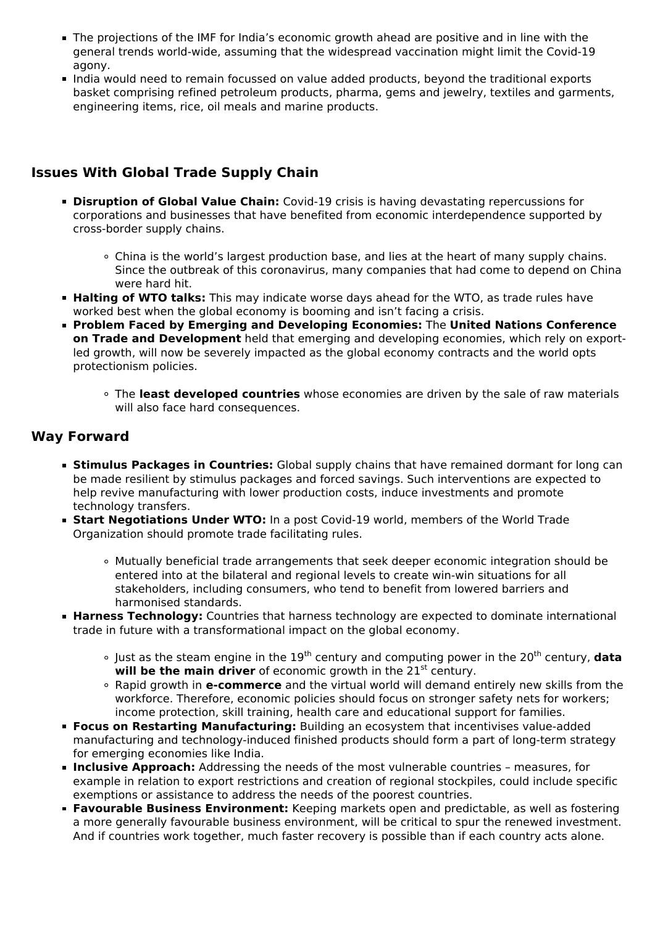- The projections of the IMF for India's economic growth ahead are positive and in line with the general trends world-wide, assuming that the widespread vaccination might limit the Covid-19 agony.
- India would need to remain focussed on value added products, beyond the traditional exports basket comprising refined petroleum products, pharma, gems and jewelry, textiles and garments, engineering items, rice, oil meals and marine products.

## **Issues With Global Trade Supply Chain**

- **Disruption of Global Value Chain:** Covid-19 crisis is having devastating repercussions for corporations and businesses that have benefited from economic interdependence supported by cross-border supply chains.
	- China is the world's largest production base, and lies at the heart of many supply chains. Since the outbreak of this coronavirus, many companies that had come to depend on China were hard hit.
- **Halting of WTO talks:** This may indicate worse days ahead for the WTO, as trade rules have worked best when the global economy is booming and isn't facing a crisis.
- **Problem Faced by Emerging and Developing Economies:** The **United Nations Conference on Trade and Development** held that emerging and developing economies, which rely on exportled growth, will now be severely impacted as the global economy contracts and the world opts protectionism policies.
	- The **least developed countries** whose economies are driven by the sale of raw materials will also face hard consequences.

#### **Way Forward**

- **Stimulus Packages in Countries:** Global supply chains that have remained dormant for long can be made resilient by stimulus packages and forced savings. Such interventions are expected to help revive manufacturing with lower production costs, induce investments and promote technology transfers.
- **Start Negotiations Under WTO:** In a post Covid-19 world, members of the World Trade Organization should promote trade facilitating rules.
	- Mutually beneficial trade arrangements that seek deeper economic integration should be entered into at the bilateral and regional levels to create win-win situations for all stakeholders, including consumers, who tend to benefit from lowered barriers and harmonised standards.
- **Harness Technology:** Countries that harness technology are expected to dominate international trade in future with a transformational impact on the global economy.
	- $\circ$  lust as the steam engine in the 19<sup>th</sup> century and computing power in the 20<sup>th</sup> century, **data** will be the main driver of economic growth in the 21<sup>st</sup> century.
	- Rapid growth in **e-commerce** and the virtual world will demand entirely new skills from the workforce. Therefore, economic policies should focus on stronger safety nets for workers; income protection, skill training, health care and educational support for families.
- **Focus on Restarting Manufacturing:** Building an ecosystem that incentivises value-added manufacturing and technology-induced finished products should form a part of long-term strategy for emerging economies like India.
- **Inclusive Approach:** Addressing the needs of the most vulnerable countries measures, for example in relation to export restrictions and creation of regional stockpiles, could include specific exemptions or assistance to address the needs of the poorest countries.
- **Favourable Business Environment:** Keeping markets open and predictable, as well as fostering a more generally favourable business environment, will be critical to spur the renewed investment. And if countries work together, much faster recovery is possible than if each country acts alone.